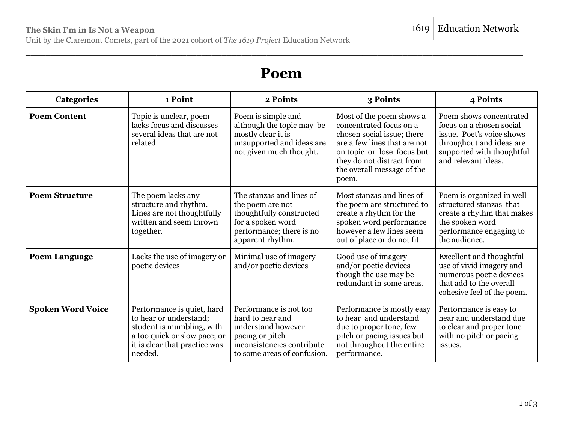Unit by the Claremont Comets, part of the 2021 cohort of *The 1619 Project* Education Network

## **Poem**

\_\_\_\_\_\_\_\_\_\_\_\_\_\_\_\_\_\_\_\_\_\_\_\_\_\_\_\_\_\_\_\_\_\_\_\_\_\_\_\_\_\_\_\_\_\_\_\_\_\_\_\_\_\_\_\_\_\_\_\_\_\_\_\_\_\_\_\_\_\_\_\_\_\_\_\_\_\_\_\_\_\_\_\_\_\_\_\_\_\_\_\_\_\_\_\_\_\_\_

| <b>Categories</b>        | 1 Point                                                                                                                                                       | 2 Points                                                                                                                                         | 3 Points                                                                                                                                                                                                            | 4 Points                                                                                                                                                         |
|--------------------------|---------------------------------------------------------------------------------------------------------------------------------------------------------------|--------------------------------------------------------------------------------------------------------------------------------------------------|---------------------------------------------------------------------------------------------------------------------------------------------------------------------------------------------------------------------|------------------------------------------------------------------------------------------------------------------------------------------------------------------|
| <b>Poem Content</b>      | Topic is unclear, poem<br>lacks focus and discusses<br>several ideas that are not<br>related                                                                  | Poem is simple and<br>although the topic may be<br>mostly clear it is<br>unsupported and ideas are<br>not given much thought.                    | Most of the poem shows a<br>concentrated focus on a<br>chosen social issue; there<br>are a few lines that are not<br>on topic or lose focus but<br>they do not distract from<br>the overall message of the<br>poem. | Poem shows concentrated<br>focus on a chosen social<br>issue. Poet's voice shows<br>throughout and ideas are<br>supported with thoughtful<br>and relevant ideas. |
| <b>Poem Structure</b>    | The poem lacks any<br>structure and rhythm.<br>Lines are not thoughtfully<br>written and seem thrown<br>together.                                             | The stanzas and lines of<br>the poem are not<br>thoughtfully constructed<br>for a spoken word<br>performance; there is no<br>apparent rhythm.    | Most stanzas and lines of<br>the poem are structured to<br>create a rhythm for the<br>spoken word performance<br>however a few lines seem<br>out of place or do not fit.                                            | Poem is organized in well<br>structured stanzas that<br>create a rhythm that makes<br>the spoken word<br>performance engaging to<br>the audience.                |
| <b>Poem Language</b>     | Lacks the use of imagery or<br>poetic devices                                                                                                                 | Minimal use of imagery<br>and/or poetic devices                                                                                                  | Good use of imagery<br>and/or poetic devices<br>though the use may be<br>redundant in some areas.                                                                                                                   | <b>Excellent and thoughtful</b><br>use of vivid imagery and<br>numerous poetic devices<br>that add to the overall<br>cohesive feel of the poem.                  |
| <b>Spoken Word Voice</b> | Performance is quiet, hard<br>to hear or understand;<br>student is mumbling, with<br>a too quick or slow pace; or<br>it is clear that practice was<br>needed. | Performance is not too<br>hard to hear and<br>understand however<br>pacing or pitch<br>inconsistencies contribute<br>to some areas of confusion. | Performance is mostly easy<br>to hear and understand<br>due to proper tone, few<br>pitch or pacing issues but<br>not throughout the entire<br>performance.                                                          | Performance is easy to<br>hear and understand due<br>to clear and proper tone<br>with no pitch or pacing<br>issues.                                              |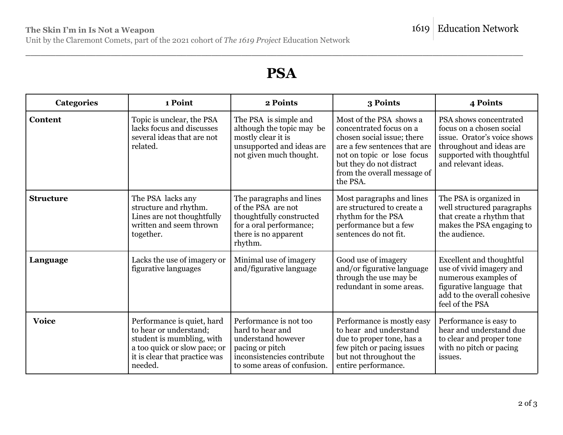Unit by the Claremont Comets, part of the 2021 cohort of *The 1619 Project* Education Network

## **PSA**

\_\_\_\_\_\_\_\_\_\_\_\_\_\_\_\_\_\_\_\_\_\_\_\_\_\_\_\_\_\_\_\_\_\_\_\_\_\_\_\_\_\_\_\_\_\_\_\_\_\_\_\_\_\_\_\_\_\_\_\_\_\_\_\_\_\_\_\_\_\_\_\_\_\_\_\_\_\_\_\_\_\_\_\_\_\_\_\_\_\_\_\_\_\_\_\_\_\_\_

| <b>Categories</b> | 1 Point                                                                                                                                                       | 2 Points                                                                                                                                         | 3 Points                                                                                                                                                                                                              | 4 Points                                                                                                                                                          |
|-------------------|---------------------------------------------------------------------------------------------------------------------------------------------------------------|--------------------------------------------------------------------------------------------------------------------------------------------------|-----------------------------------------------------------------------------------------------------------------------------------------------------------------------------------------------------------------------|-------------------------------------------------------------------------------------------------------------------------------------------------------------------|
| Content           | Topic is unclear, the PSA<br>lacks focus and discusses<br>several ideas that are not<br>related.                                                              | The PSA is simple and<br>although the topic may be<br>mostly clear it is<br>unsupported and ideas are<br>not given much thought.                 | Most of the PSA shows a<br>concentrated focus on a<br>chosen social issue; there<br>are a few sentences that are<br>not on topic or lose focus<br>but they do not distract<br>from the overall message of<br>the PSA. | PSA shows concentrated<br>focus on a chosen social<br>issue. Orator's voice shows<br>throughout and ideas are<br>supported with thoughtful<br>and relevant ideas. |
| <b>Structure</b>  | The PSA lacks any<br>structure and rhythm.<br>Lines are not thoughtfully<br>written and seem thrown<br>together.                                              | The paragraphs and lines<br>of the PSA are not<br>thoughtfully constructed<br>for a oral performance;<br>there is no apparent<br>rhythm.         | Most paragraphs and lines<br>are structured to create a<br>rhythm for the PSA<br>performance but a few<br>sentences do not fit.                                                                                       | The PSA is organized in<br>well structured paragraphs<br>that create a rhythm that<br>makes the PSA engaging to<br>the audience.                                  |
| Language          | Lacks the use of imagery or<br>figurative languages                                                                                                           | Minimal use of imagery<br>and/figurative language                                                                                                | Good use of imagery<br>and/or figurative language<br>through the use may be<br>redundant in some areas.                                                                                                               | <b>Excellent and thoughtful</b><br>use of vivid imagery and<br>numerous examples of<br>figurative language that<br>add to the overall cohesive<br>feel of the PSA |
| <b>Voice</b>      | Performance is quiet, hard<br>to hear or understand;<br>student is mumbling, with<br>a too quick or slow pace; or<br>it is clear that practice was<br>needed. | Performance is not too<br>hard to hear and<br>understand however<br>pacing or pitch<br>inconsistencies contribute<br>to some areas of confusion. | Performance is mostly easy<br>to hear and understand<br>due to proper tone, has a<br>few pitch or pacing issues<br>but not throughout the<br>entire performance.                                                      | Performance is easy to<br>hear and understand due<br>to clear and proper tone<br>with no pitch or pacing<br>issues.                                               |